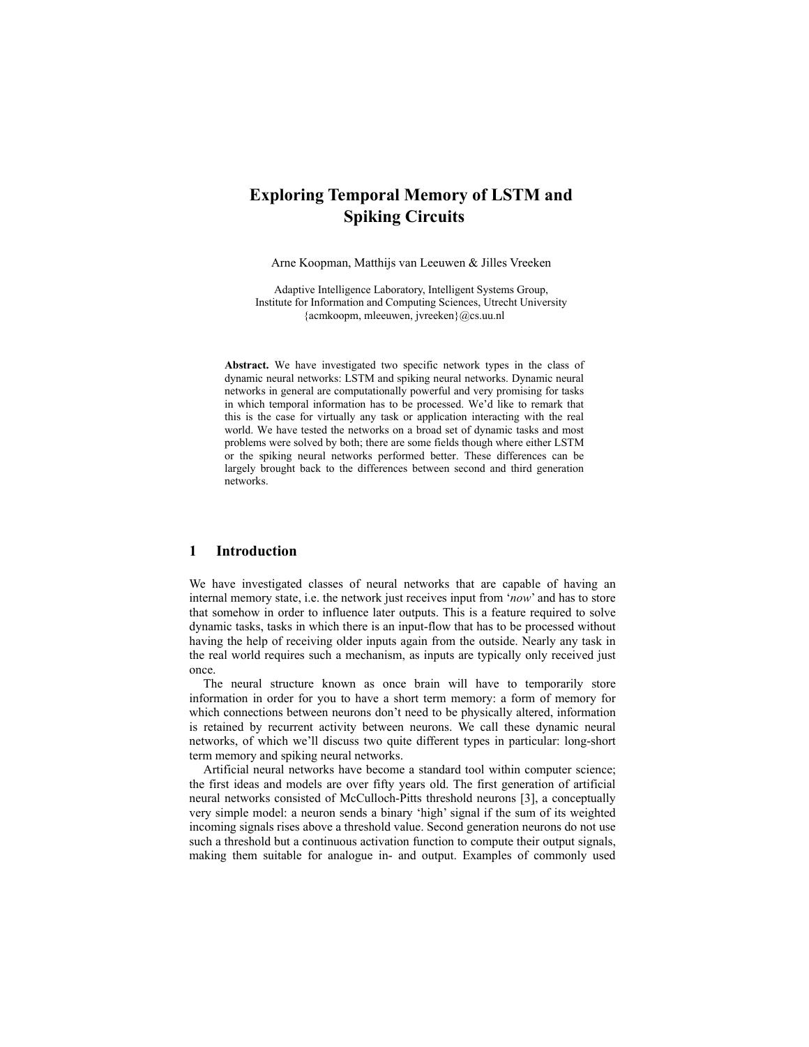# **Exploring Temporal Memory of LSTM and Spiking Circuits**

Arne Koopman, Matthijs van Leeuwen & Jilles Vreeken

Adaptive Intelligence Laboratory, Intelligent Systems Group, Institute for Information and Computing Sciences, Utrecht University {acmkoopm, mleeuwen, jvreeken}@cs.uu.nl

**Abstract.** We have investigated two specific network types in the class of dynamic neural networks: LSTM and spiking neural networks. Dynamic neural networks in general are computationally powerful and very promising for tasks in which temporal information has to be processed. We'd like to remark that this is the case for virtually any task or application interacting with the real world. We have tested the networks on a broad set of dynamic tasks and most problems were solved by both; there are some fields though where either LSTM or the spiking neural networks performed better. These differences can be largely brought back to the differences between second and third generation networks.

## **1 Introduction**

We have investigated classes of neural networks that are capable of having an internal memory state, i.e. the network just receives input from '*now*' and has to store that somehow in order to influence later outputs. This is a feature required to solve dynamic tasks, tasks in which there is an input-flow that has to be processed without having the help of receiving older inputs again from the outside. Nearly any task in the real world requires such a mechanism, as inputs are typically only received just once.

The neural structure known as once brain will have to temporarily store information in order for you to have a short term memory: a form of memory for which connections between neurons don't need to be physically altered, information is retained by recurrent activity between neurons. We call these dynamic neural networks, of which we'll discuss two quite different types in particular: long-short term memory and spiking neural networks.

Artificial neural networks have become a standard tool within computer science; the first ideas and models are over fifty years old. The first generation of artificial neural networks consisted of McCulloch-Pitts threshold neurons [3], a conceptually very simple model: a neuron sends a binary 'high' signal if the sum of its weighted incoming signals rises above a threshold value. Second generation neurons do not use such a threshold but a continuous activation function to compute their output signals, making them suitable for analogue in- and output. Examples of commonly used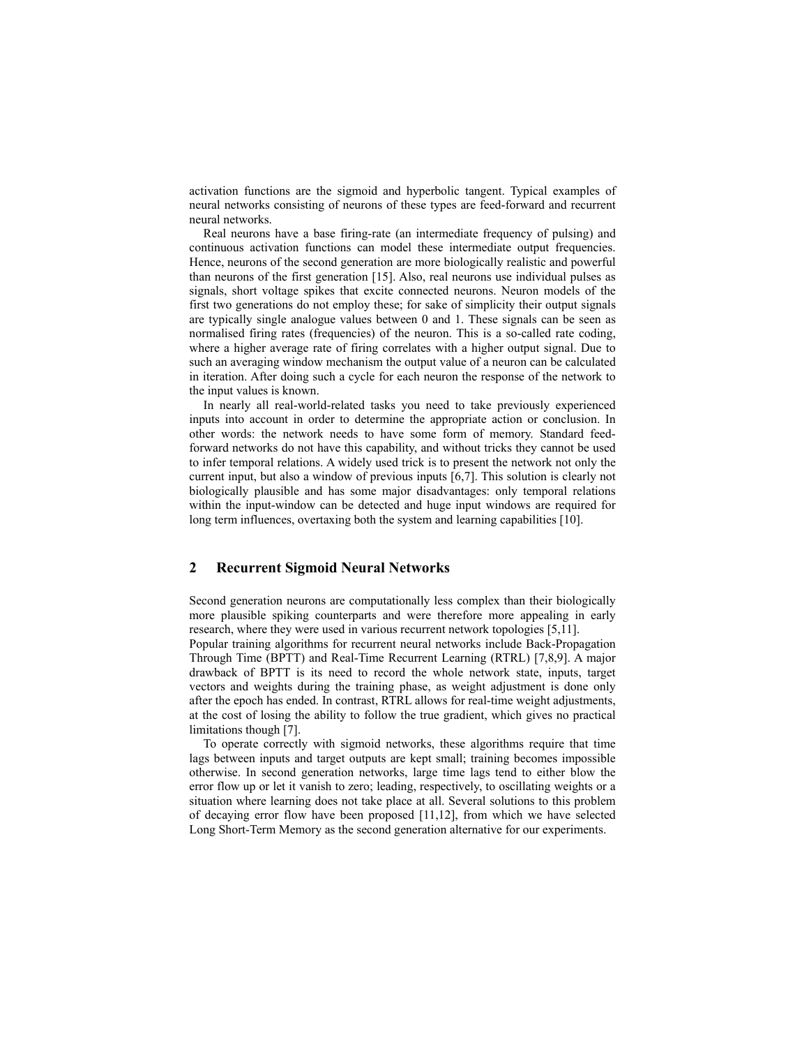activation functions are the sigmoid and hyperbolic tangent. Typical examples of neural networks consisting of neurons of these types are feed-forward and recurrent neural networks.

Real neurons have a base firing-rate (an intermediate frequency of pulsing) and continuous activation functions can model these intermediate output frequencies. Hence, neurons of the second generation are more biologically realistic and powerful than neurons of the first generation [15]. Also, real neurons use individual pulses as signals, short voltage spikes that excite connected neurons. Neuron models of the first two generations do not employ these; for sake of simplicity their output signals are typically single analogue values between 0 and 1. These signals can be seen as normalised firing rates (frequencies) of the neuron. This is a so-called rate coding, where a higher average rate of firing correlates with a higher output signal. Due to such an averaging window mechanism the output value of a neuron can be calculated in iteration. After doing such a cycle for each neuron the response of the network to the input values is known.

In nearly all real-world-related tasks you need to take previously experienced inputs into account in order to determine the appropriate action or conclusion. In other words: the network needs to have some form of memory. Standard feedforward networks do not have this capability, and without tricks they cannot be used to infer temporal relations. A widely used trick is to present the network not only the current input, but also a window of previous inputs [6,7]. This solution is clearly not biologically plausible and has some major disadvantages: only temporal relations within the input-window can be detected and huge input windows are required for long term influences, overtaxing both the system and learning capabilities [10].

## **2 Recurrent Sigmoid Neural Networks**

Second generation neurons are computationally less complex than their biologically more plausible spiking counterparts and were therefore more appealing in early research, where they were used in various recurrent network topologies [5,11].

Popular training algorithms for recurrent neural networks include Back-Propagation Through Time (BPTT) and Real-Time Recurrent Learning (RTRL) [7,8,9]. A major drawback of BPTT is its need to record the whole network state, inputs, target vectors and weights during the training phase, as weight adjustment is done only after the epoch has ended. In contrast, RTRL allows for real-time weight adjustments, at the cost of losing the ability to follow the true gradient, which gives no practical limitations though [7].

To operate correctly with sigmoid networks, these algorithms require that time lags between inputs and target outputs are kept small; training becomes impossible otherwise. In second generation networks, large time lags tend to either blow the error flow up or let it vanish to zero; leading, respectively, to oscillating weights or a situation where learning does not take place at all. Several solutions to this problem of decaying error flow have been proposed [11,12], from which we have selected Long Short-Term Memory as the second generation alternative for our experiments.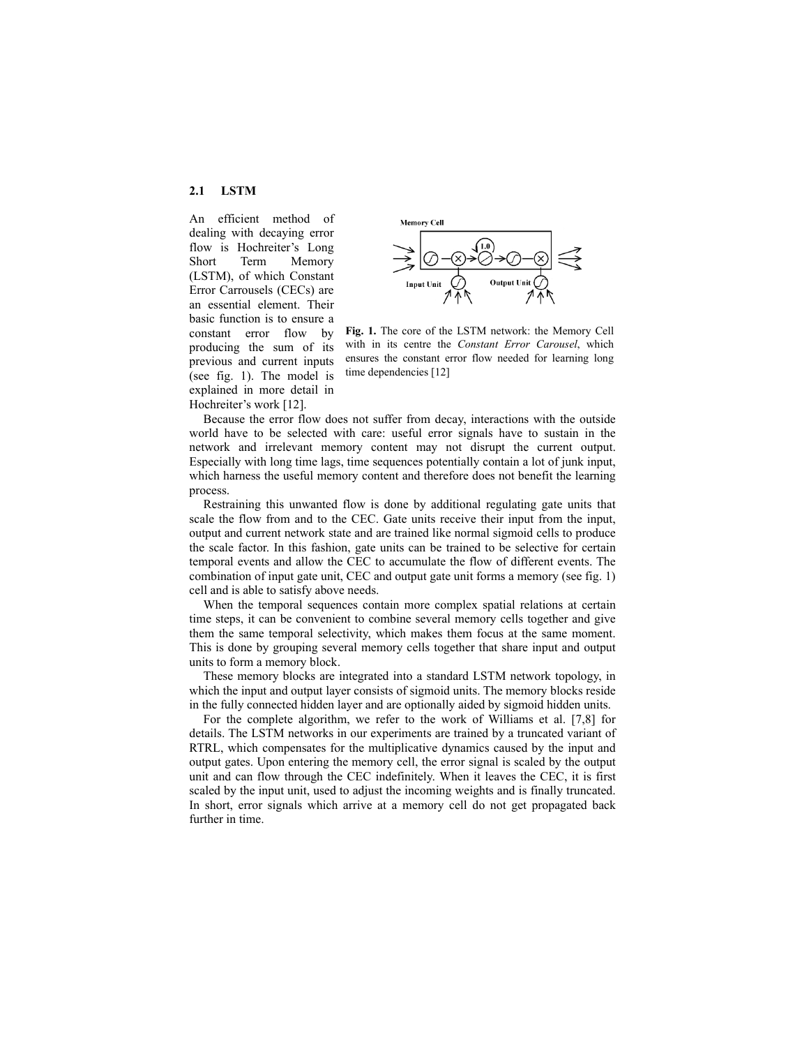**2.1 LSTM** 

An efficient method of dealing with decaying error flow is Hochreiter's Long Short Term Memory (LSTM), of which Constant Error Carrousels (CECs) are an essential element. Their basic function is to ensure a constant error flow by producing the sum of its previous and current inputs (see fig. 1). The model is explained in more detail in Hochreiter's work [12].



**Fig. 1.** The core of the LSTM network: the Memory Cell with in its centre the *Constant Error Carousel*, which ensures the constant error flow needed for learning long time dependencies [12]

Because the error flow does not suffer from decay, interactions with the outside world have to be selected with care: useful error signals have to sustain in the network and irrelevant memory content may not disrupt the current output. Especially with long time lags, time sequences potentially contain a lot of junk input, which harness the useful memory content and therefore does not benefit the learning process.

Restraining this unwanted flow is done by additional regulating gate units that scale the flow from and to the CEC. Gate units receive their input from the input, output and current network state and are trained like normal sigmoid cells to produce the scale factor. In this fashion, gate units can be trained to be selective for certain temporal events and allow the CEC to accumulate the flow of different events. The combination of input gate unit, CEC and output gate unit forms a memory (see fig. 1) cell and is able to satisfy above needs.

When the temporal sequences contain more complex spatial relations at certain time steps, it can be convenient to combine several memory cells together and give them the same temporal selectivity, which makes them focus at the same moment. This is done by grouping several memory cells together that share input and output units to form a memory block.

These memory blocks are integrated into a standard LSTM network topology, in which the input and output layer consists of sigmoid units. The memory blocks reside in the fully connected hidden layer and are optionally aided by sigmoid hidden units.

For the complete algorithm, we refer to the work of Williams et al. [7,8] for details. The LSTM networks in our experiments are trained by a truncated variant of RTRL, which compensates for the multiplicative dynamics caused by the input and output gates. Upon entering the memory cell, the error signal is scaled by the output unit and can flow through the CEC indefinitely. When it leaves the CEC, it is first scaled by the input unit, used to adjust the incoming weights and is finally truncated. In short, error signals which arrive at a memory cell do not get propagated back further in time.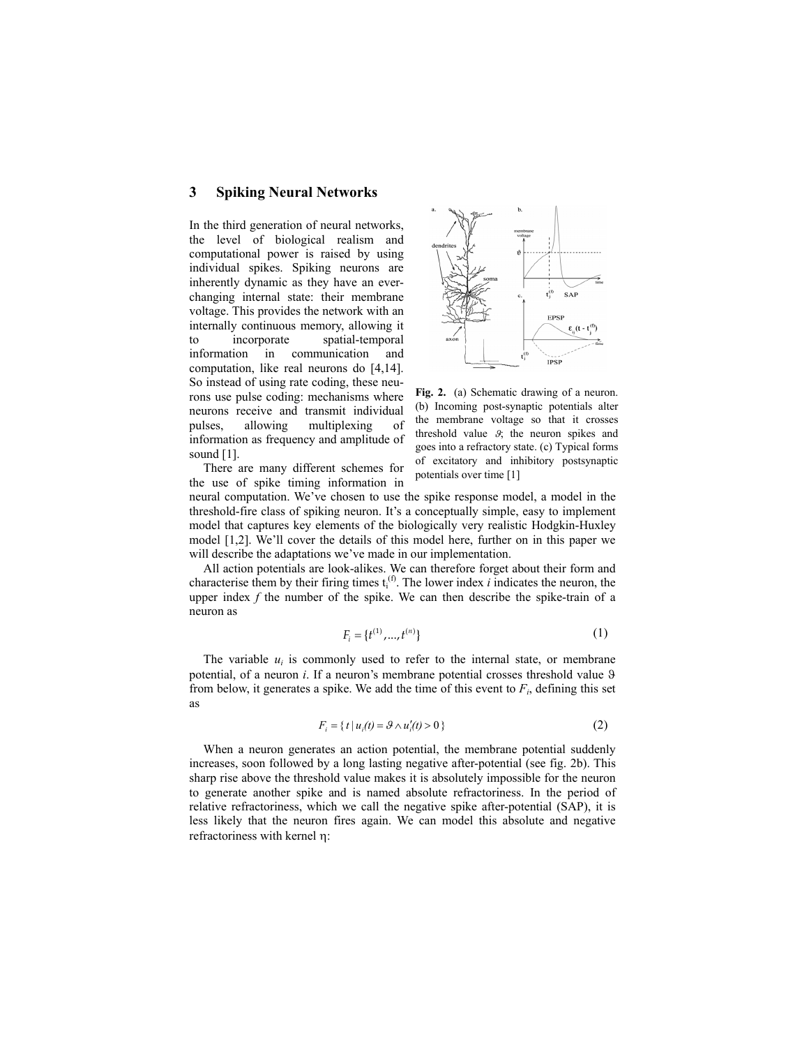#### **3 Spiking Neural Networks**

In the third generation of neural networks, the level of biological realism and computational power is raised by using individual spikes. Spiking neurons are inherently dynamic as they have an everchanging internal state: their membrane voltage. This provides the network with an internally continuous memory, allowing it to incorporate spatial-temporal information in communication and computation, like real neurons do [4,14]. So instead of using rate coding, these neurons use pulse coding: mechanisms where neurons receive and transmit individual pulses, allowing multiplexing of information as frequency and amplitude of sound [1].



**Fig. 2.** (a) Schematic drawing of a neuron. (b) Incoming post-synaptic potentials alter the membrane voltage so that it crosses threshold value  $\mathcal{G}$ ; the neuron spikes and goes into a refractory state. (c) Typical forms of excitatory and inhibitory postsynaptic potentials over time [1]

There are many different schemes for the use of spike timing information in

neural computation. We've chosen to use the spike response model, a model in the threshold-fire class of spiking neuron. It's a conceptually simple, easy to implement model that captures key elements of the biologically very realistic Hodgkin-Huxley model [1,2]. We'll cover the details of this model here, further on in this paper we will describe the adaptations we've made in our implementation.

All action potentials are look-alikes. We can therefore forget about their form and characterise them by their firing times  $t_i^{(f)}$ . The lower index *i* indicates the neuron, the upper index *f* the number of the spike. We can then describe the spike-train of a neuron as

$$
F_i = \{t^{(1)}, \dots, t^{(n)}\}
$$
 (1)

The variable  $u_i$  is commonly used to refer to the internal state, or membrane potential, of a neuron *i*. If a neuron's membrane potential crosses threshold value  $9$ from below, it generates a spike. We add the time of this event to  $F_i$ , defining this set as

$$
F_i = \{ t \mid u_i(t) = \mathcal{G} \wedge u'_i(t) > 0 \}
$$
 (2)

When a neuron generates an action potential, the membrane potential suddenly increases, soon followed by a long lasting negative after-potential (see fig. 2b). This sharp rise above the threshold value makes it is absolutely impossible for the neuron to generate another spike and is named absolute refractoriness. In the period of relative refractoriness, which we call the negative spike after-potential (SAP), it is less likely that the neuron fires again. We can model this absolute and negative refractoriness with kernel η: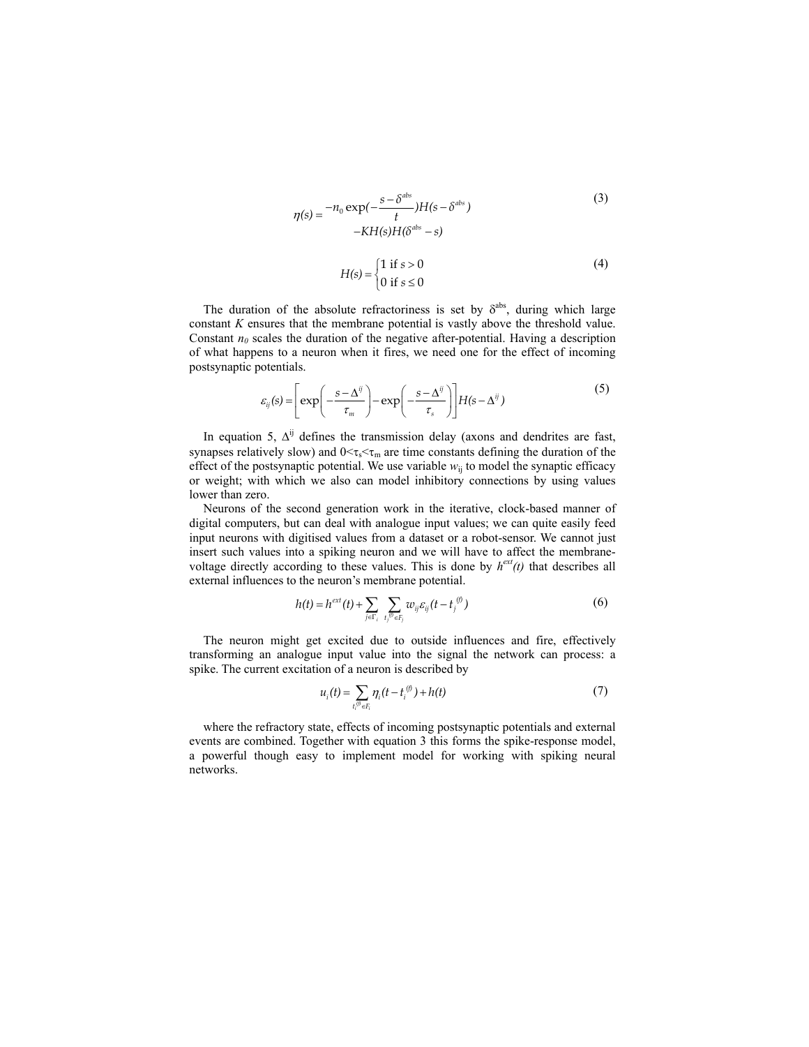$$
\eta(s) = \frac{-n_0 \exp(-\frac{s - \delta^{abs}}{t})H(s - \delta^{abs})}{-KH(s)H(\delta^{abs} - s)}
$$
(3)  

$$
H(s) = \begin{cases} 1 \text{ if } s > 0 \\ 0 \text{ if } s \le 0 \end{cases}
$$
(4)

The duration of the absolute refractoriness is set by  $\delta^{abs}$ , during which large constant *K* ensures that the membrane potential is vastly above the threshold value. Constant  $n_0$  scales the duration of the negative after-potential. Having a description of what happens to a neuron when it fires, we need one for the effect of incoming postsynaptic potentials.

$$
\varepsilon_{ij}(s) = \left[ \exp\left( -\frac{s - \Delta^{ij}}{\tau_m} \right) - \exp\left( -\frac{s - \Delta^{ij}}{\tau_s} \right) \right] H(s - \Delta^{ij}) \tag{5}
$$

In equation 5,  $\Delta^{ij}$  defines the transmission delay (axons and dendrites are fast, synapses relatively slow) and  $0 \leq \tau_s \leq \tau_m$  are time constants defining the duration of the effect of the postsynaptic potential. We use variable  $w<sub>ii</sub>$  to model the synaptic efficacy or weight; with which we also can model inhibitory connections by using values lower than zero.

Neurons of the second generation work in the iterative, clock-based manner of digital computers, but can deal with analogue input values; we can quite easily feed input neurons with digitised values from a dataset or a robot-sensor. We cannot just insert such values into a spiking neuron and we will have to affect the membranevoltage directly according to these values. This is done by  $h^{\text{ext}}(t)$  that describes all external influences to the neuron's membrane potential.

$$
h(t) = h^{ext}(t) + \sum_{j \in \Gamma_i} \sum_{t_j^{\scriptscriptstyle{(i)}} \in F_j} w_{ij} \varepsilon_{ij} (t - t_j^{\scriptscriptstyle{(i)}})
$$
 (6)

The neuron might get excited due to outside influences and fire, effectively transforming an analogue input value into the signal the network can process: a spike. The current excitation of a neuron is described by

$$
u_i(t) = \sum_{t_i^{(i)} \in F_i} \eta_i(t - t_i^{(i)}) + h(t)
$$
 (7)

where the refractory state, effects of incoming postsynaptic potentials and external events are combined. Together with equation 3 this forms the spike-response model, a powerful though easy to implement model for working with spiking neural networks.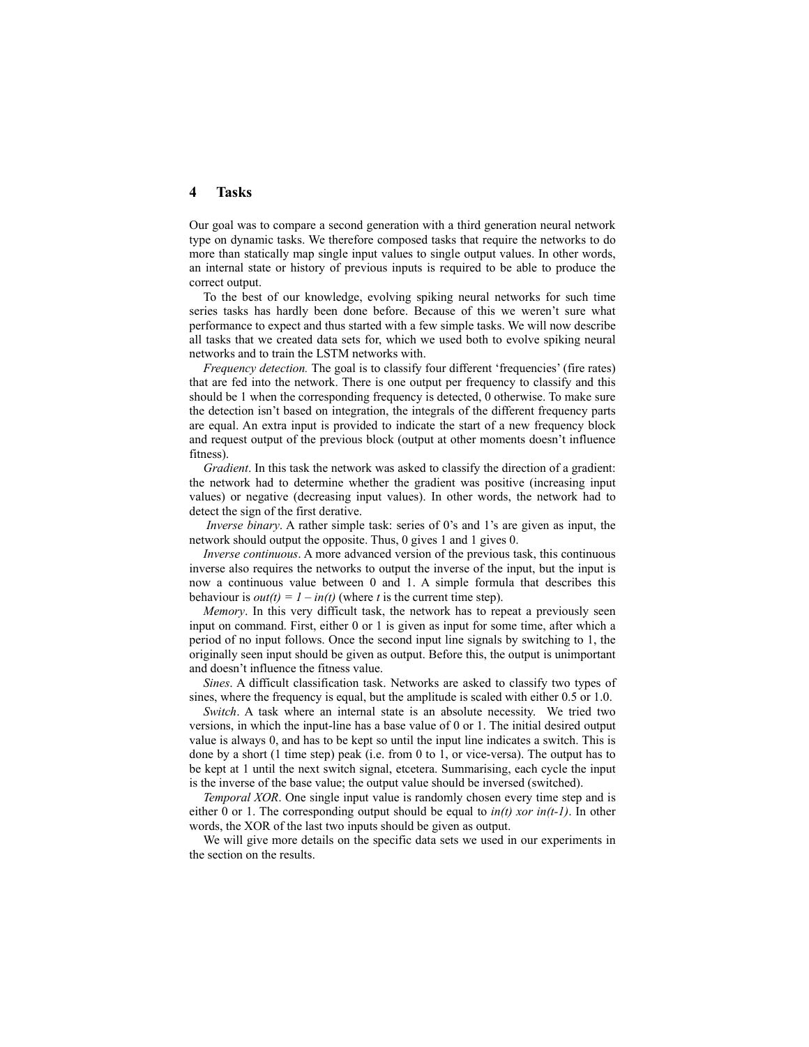## **4 Tasks**

Our goal was to compare a second generation with a third generation neural network type on dynamic tasks. We therefore composed tasks that require the networks to do more than statically map single input values to single output values. In other words, an internal state or history of previous inputs is required to be able to produce the correct output.

To the best of our knowledge, evolving spiking neural networks for such time series tasks has hardly been done before. Because of this we weren't sure what performance to expect and thus started with a few simple tasks. We will now describe all tasks that we created data sets for, which we used both to evolve spiking neural networks and to train the LSTM networks with.

*Frequency detection.* The goal is to classify four different 'frequencies' (fire rates) that are fed into the network. There is one output per frequency to classify and this should be 1 when the corresponding frequency is detected, 0 otherwise. To make sure the detection isn't based on integration, the integrals of the different frequency parts are equal. An extra input is provided to indicate the start of a new frequency block and request output of the previous block (output at other moments doesn't influence fitness).

*Gradient*. In this task the network was asked to classify the direction of a gradient: the network had to determine whether the gradient was positive (increasing input values) or negative (decreasing input values). In other words, the network had to detect the sign of the first derative.

*Inverse binary*. A rather simple task: series of 0's and 1's are given as input, the network should output the opposite. Thus, 0 gives 1 and 1 gives 0.

*Inverse continuous*. A more advanced version of the previous task, this continuous inverse also requires the networks to output the inverse of the input, but the input is now a continuous value between 0 and 1. A simple formula that describes this behaviour is  $out(t) = 1 - in(t)$  (where *t* is the current time step).

*Memory*. In this very difficult task, the network has to repeat a previously seen input on command. First, either 0 or 1 is given as input for some time, after which a period of no input follows. Once the second input line signals by switching to 1, the originally seen input should be given as output. Before this, the output is unimportant and doesn't influence the fitness value.

*Sines*. A difficult classification task. Networks are asked to classify two types of sines, where the frequency is equal, but the amplitude is scaled with either 0.5 or 1.0.

*Switch*. A task where an internal state is an absolute necessity. We tried two versions, in which the input-line has a base value of 0 or 1. The initial desired output value is always 0, and has to be kept so until the input line indicates a switch. This is done by a short (1 time step) peak (i.e. from 0 to 1, or vice-versa). The output has to be kept at 1 until the next switch signal, etcetera. Summarising, each cycle the input is the inverse of the base value; the output value should be inversed (switched).

*Temporal XOR*. One single input value is randomly chosen every time step and is either 0 or 1. The corresponding output should be equal to *in(t) xor in(t-1)*. In other words, the XOR of the last two inputs should be given as output.

We will give more details on the specific data sets we used in our experiments in the section on the results.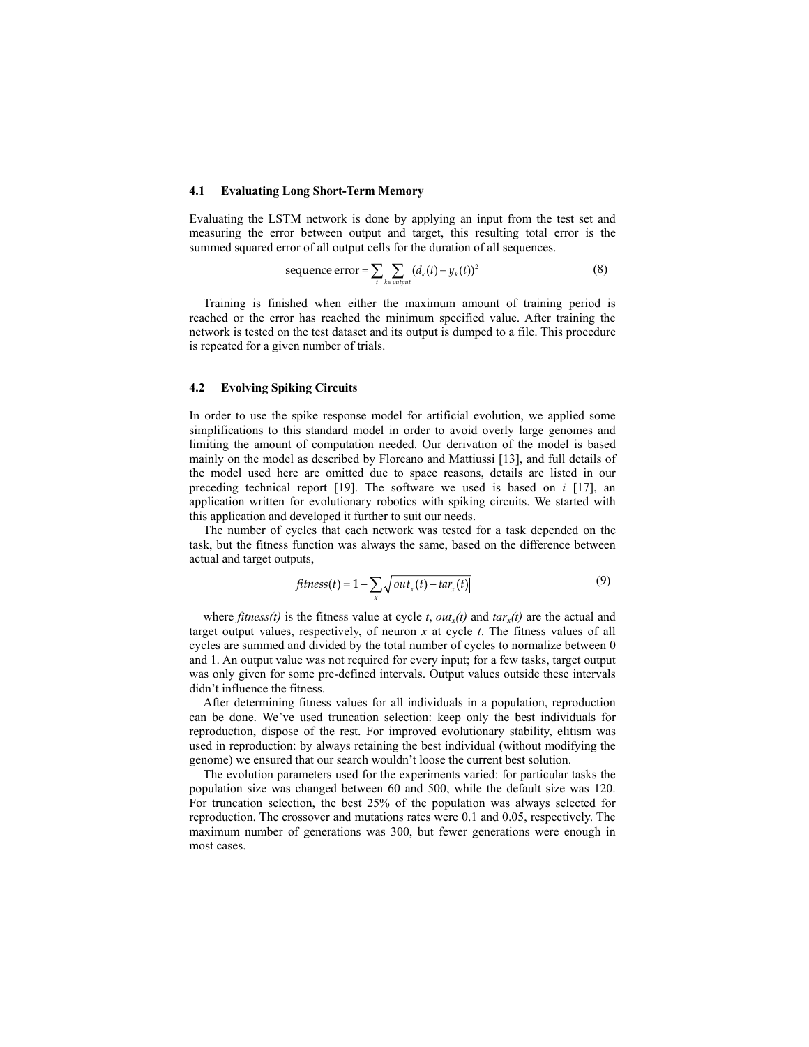#### **4.1 Evaluating Long Short-Term Memory**

Evaluating the LSTM network is done by applying an input from the test set and measuring the error between output and target, this resulting total error is the summed squared error of all output cells for the duration of all sequences.

sequence error = 
$$
\sum_{t} \sum_{k \in output} (d_k(t) - y_k(t))^2
$$
 (8)

Training is finished when either the maximum amount of training period is reached or the error has reached the minimum specified value. After training the network is tested on the test dataset and its output is dumped to a file. This procedure is repeated for a given number of trials.

#### **4.2 Evolving Spiking Circuits**

In order to use the spike response model for artificial evolution, we applied some simplifications to this standard model in order to avoid overly large genomes and limiting the amount of computation needed. Our derivation of the model is based mainly on the model as described by Floreano and Mattiussi [13], and full details of the model used here are omitted due to space reasons, details are listed in our preceding technical report [19]. The software we used is based on *i* [17], an application written for evolutionary robotics with spiking circuits. We started with this application and developed it further to suit our needs.

The number of cycles that each network was tested for a task depended on the task, but the fitness function was always the same, based on the difference between actual and target outputs,

$$
fitness(t) = 1 - \sum_{x} \sqrt{out_x(t) - tar_x(t)}
$$
\n(9)

where *fitness(t)* is the fitness value at cycle *t*, *out<sub>x</sub>(t)* and  $tar_x(t)$  are the actual and target output values, respectively, of neuron *x* at cycle *t*. The fitness values of all cycles are summed and divided by the total number of cycles to normalize between 0 and 1. An output value was not required for every input; for a few tasks, target output was only given for some pre-defined intervals. Output values outside these intervals didn't influence the fitness.

After determining fitness values for all individuals in a population, reproduction can be done. We've used truncation selection: keep only the best individuals for reproduction, dispose of the rest. For improved evolutionary stability, elitism was used in reproduction: by always retaining the best individual (without modifying the genome) we ensured that our search wouldn't loose the current best solution.

The evolution parameters used for the experiments varied: for particular tasks the population size was changed between 60 and 500, while the default size was 120. For truncation selection, the best 25% of the population was always selected for reproduction. The crossover and mutations rates were 0.1 and 0.05, respectively. The maximum number of generations was 300, but fewer generations were enough in most cases.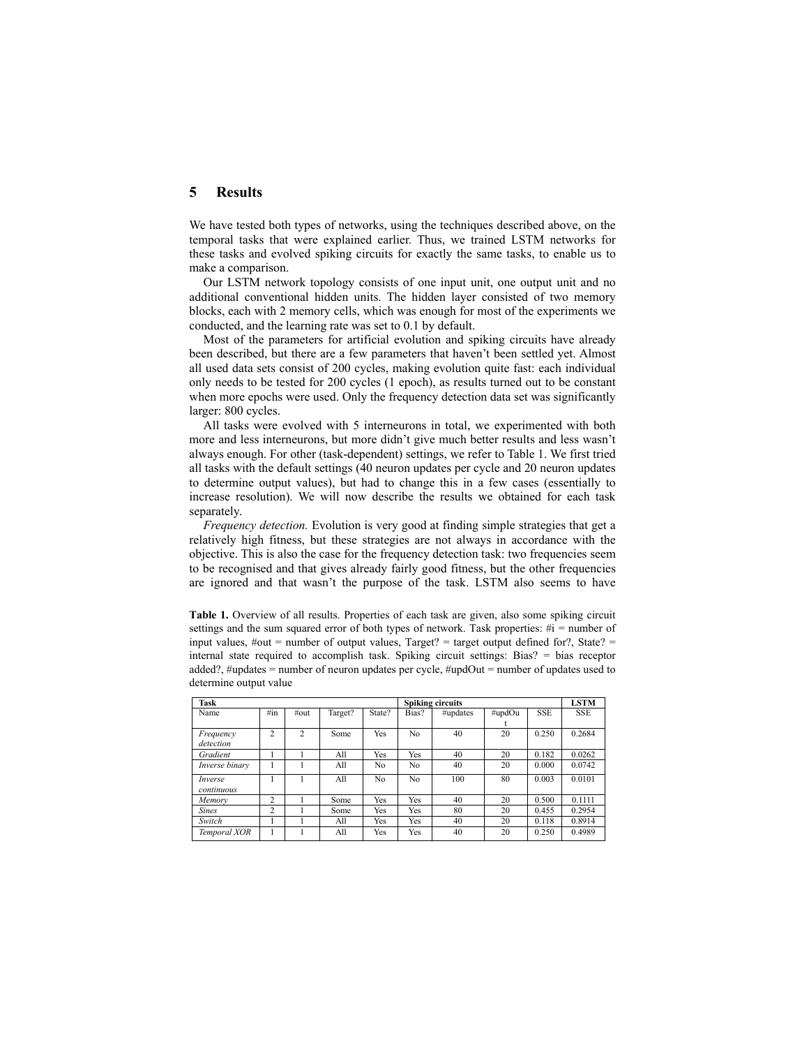## **5 Results**

We have tested both types of networks, using the techniques described above, on the temporal tasks that were explained earlier. Thus, we trained LSTM networks for these tasks and evolved spiking circuits for exactly the same tasks, to enable us to make a comparison.

Our LSTM network topology consists of one input unit, one output unit and no additional conventional hidden units. The hidden layer consisted of two memory blocks, each with 2 memory cells, which was enough for most of the experiments we conducted, and the learning rate was set to 0.1 by default.

Most of the parameters for artificial evolution and spiking circuits have already been described, but there are a few parameters that haven't been settled yet. Almost all used data sets consist of 200 cycles, making evolution quite fast: each individual only needs to be tested for 200 cycles (1 epoch), as results turned out to be constant when more epochs were used. Only the frequency detection data set was significantly larger: 800 cycles.

All tasks were evolved with 5 interneurons in total, we experimented with both more and less interneurons, but more didn't give much better results and less wasn't always enough. For other (task-dependent) settings, we refer to Table 1. We first tried all tasks with the default settings (40 neuron updates per cycle and 20 neuron updates to determine output values), but had to change this in a few cases (essentially to increase resolution). We will now describe the results we obtained for each task separately.

*Frequency detection.* Evolution is very good at finding simple strategies that get a relatively high fitness, but these strategies are not always in accordance with the objective. This is also the case for the frequency detection task: two frequencies seem to be recognised and that gives already fairly good fitness, but the other frequencies are ignored and that wasn't the purpose of the task. LSTM also seems to have

**Table 1.** Overview of all results. Properties of each task are given, also some spiking circuit settings and the sum squared error of both types of network. Task properties:  $\#i$  = number of input values,  $\#out =$  number of output values, Target? = target output defined for?, State? = internal state required to accomplish task. Spiking circuit settings: Bias? = bias receptor added?, #updates = number of neuron updates per cycle, #updOut = number of updates used to determine output value

| Task                  |                |                |         |                | <b>Spiking circuits</b> |          |        |            | <b>LSTM</b> |
|-----------------------|----------------|----------------|---------|----------------|-------------------------|----------|--------|------------|-------------|
| Name                  | $\#$ in        | $\#out$        | Target? | State?         | Bias?                   | #updates | #updOu | <b>SSE</b> | <b>SSE</b>  |
|                       |                |                |         |                |                         |          |        |            |             |
| Frequency             | $\overline{c}$ | $\overline{c}$ | Some    | Yes            | N <sub>0</sub>          | 40       | 20     | 0.250      | 0.2684      |
| detection             |                |                |         |                |                         |          |        |            |             |
| Gradient              |                |                | All     | Yes            | Yes                     | 40       | 20     | 0.182      | 0.0262      |
| Inverse binary        |                |                | All     | No.            | No                      | 40       | 20     | 0.000      | 0.0742      |
| Inverse<br>continuous |                |                | All     | N <sub>0</sub> | No                      | 100      | 80     | 0.003      | 0.0101      |
| Memory                | $\overline{c}$ |                | Some    | Yes            | Yes                     | 40       | 20     | 0.500      | 0.1111      |
| <b>Sines</b>          | $\overline{c}$ |                | Some    | Yes            | Yes                     | 80       | 20     | 0.455      | 0.2954      |
| Switch                |                |                | All     | Yes            | Yes                     | 40       | 20     | 0.118      | 0.8914      |
| Temporal XOR          |                |                | All     | Yes            | Yes                     | 40       | 20     | 0.250      | 0.4989      |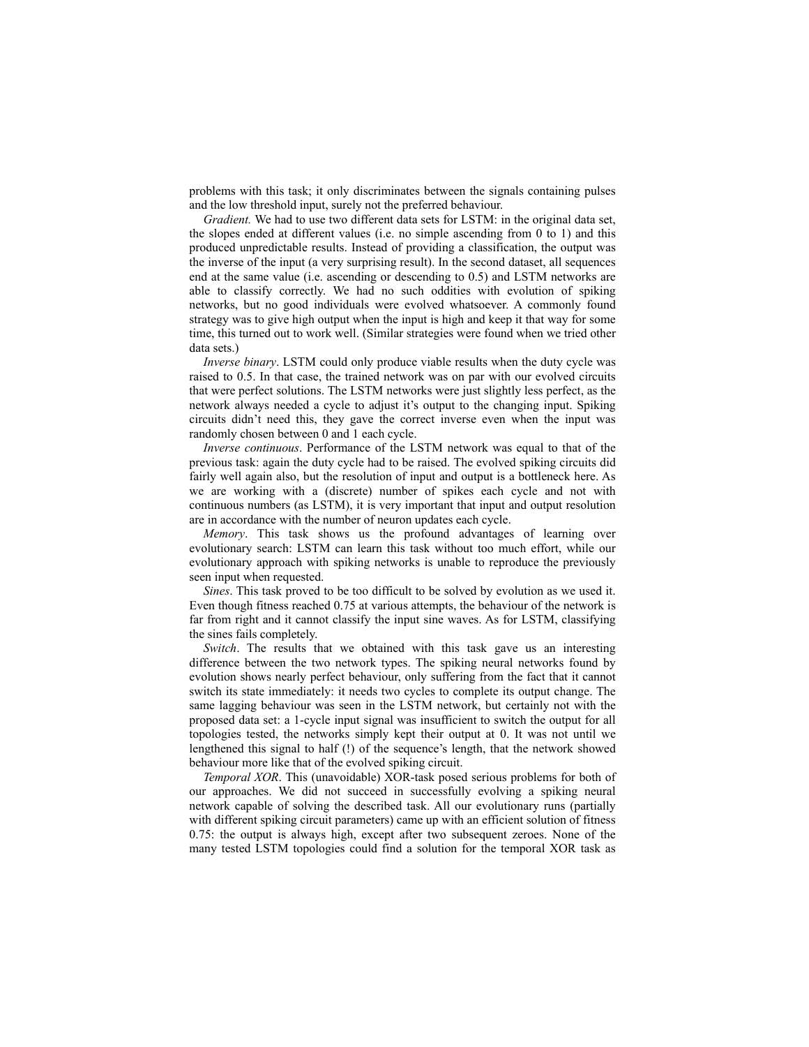problems with this task; it only discriminates between the signals containing pulses and the low threshold input, surely not the preferred behaviour.

*Gradient.* We had to use two different data sets for LSTM: in the original data set, the slopes ended at different values (i.e. no simple ascending from 0 to 1) and this produced unpredictable results. Instead of providing a classification, the output was the inverse of the input (a very surprising result). In the second dataset, all sequences end at the same value (i.e. ascending or descending to 0.5) and LSTM networks are able to classify correctly. We had no such oddities with evolution of spiking networks, but no good individuals were evolved whatsoever. A commonly found strategy was to give high output when the input is high and keep it that way for some time, this turned out to work well. (Similar strategies were found when we tried other data sets.)

*Inverse binary*. LSTM could only produce viable results when the duty cycle was raised to 0.5. In that case, the trained network was on par with our evolved circuits that were perfect solutions. The LSTM networks were just slightly less perfect, as the network always needed a cycle to adjust it's output to the changing input. Spiking circuits didn't need this, they gave the correct inverse even when the input was randomly chosen between 0 and 1 each cycle.

*Inverse continuous*. Performance of the LSTM network was equal to that of the previous task: again the duty cycle had to be raised. The evolved spiking circuits did fairly well again also, but the resolution of input and output is a bottleneck here. As we are working with a (discrete) number of spikes each cycle and not with continuous numbers (as LSTM), it is very important that input and output resolution are in accordance with the number of neuron updates each cycle.

*Memory*. This task shows us the profound advantages of learning over evolutionary search: LSTM can learn this task without too much effort, while our evolutionary approach with spiking networks is unable to reproduce the previously seen input when requested.

*Sines*. This task proved to be too difficult to be solved by evolution as we used it. Even though fitness reached 0.75 at various attempts, the behaviour of the network is far from right and it cannot classify the input sine waves. As for LSTM, classifying the sines fails completely.

*Switch*. The results that we obtained with this task gave us an interesting difference between the two network types. The spiking neural networks found by evolution shows nearly perfect behaviour, only suffering from the fact that it cannot switch its state immediately: it needs two cycles to complete its output change. The same lagging behaviour was seen in the LSTM network, but certainly not with the proposed data set: a 1-cycle input signal was insufficient to switch the output for all topologies tested, the networks simply kept their output at 0. It was not until we lengthened this signal to half (!) of the sequence's length, that the network showed behaviour more like that of the evolved spiking circuit.

*Temporal XOR*. This (unavoidable) XOR-task posed serious problems for both of our approaches. We did not succeed in successfully evolving a spiking neural network capable of solving the described task. All our evolutionary runs (partially with different spiking circuit parameters) came up with an efficient solution of fitness 0.75: the output is always high, except after two subsequent zeroes. None of the many tested LSTM topologies could find a solution for the temporal XOR task as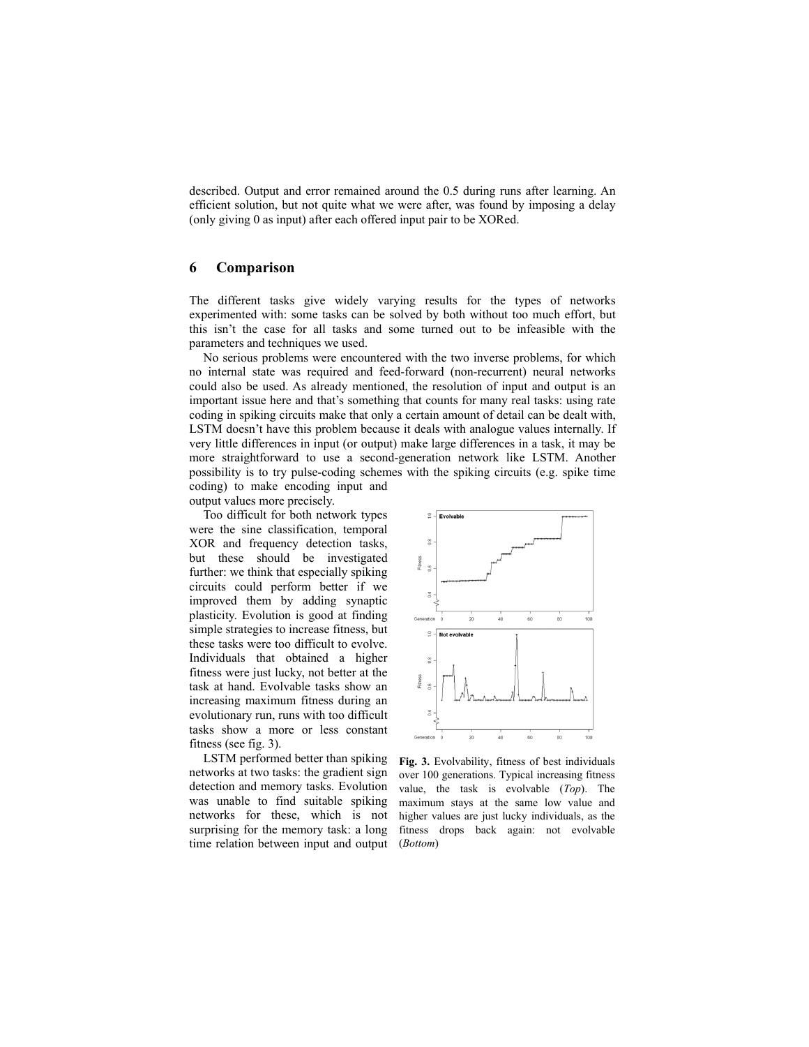described. Output and error remained around the 0.5 during runs after learning. An efficient solution, but not quite what we were after, was found by imposing a delay (only giving 0 as input) after each offered input pair to be XORed.

## **6 Comparison**

The different tasks give widely varying results for the types of networks experimented with: some tasks can be solved by both without too much effort, but this isn't the case for all tasks and some turned out to be infeasible with the parameters and techniques we used.

No serious problems were encountered with the two inverse problems, for which no internal state was required and feed-forward (non-recurrent) neural networks could also be used. As already mentioned, the resolution of input and output is an important issue here and that's something that counts for many real tasks: using rate coding in spiking circuits make that only a certain amount of detail can be dealt with, LSTM doesn't have this problem because it deals with analogue values internally. If very little differences in input (or output) make large differences in a task, it may be more straightforward to use a second-generation network like LSTM. Another possibility is to try pulse-coding schemes with the spiking circuits (e.g. spike time coding) to make encoding input and

output values more precisely. Too difficult for both network types were the sine classification, temporal XOR and frequency detection tasks, but these should be investigated further: we think that especially spiking circuits could perform better if we improved them by adding synaptic plasticity. Evolution is good at finding simple strategies to increase fitness, but these tasks were too difficult to evolve. Individuals that obtained a higher fitness were just lucky, not better at the task at hand. Evolvable tasks show an increasing maximum fitness during an evolutionary run, runs with too difficult tasks show a more or less constant fitness (see fig. 3).

LSTM performed better than spiking networks at two tasks: the gradient sign detection and memory tasks. Evolution was unable to find suitable spiking networks for these, which is not surprising for the memory task: a long time relation between input and output



**Fig. 3.** Evolvability, fitness of best individuals over 100 generations. Typical increasing fitness value, the task is evolvable (*Top*). The maximum stays at the same low value and higher values are just lucky individuals, as the fitness drops back again: not evolvable (*Bottom*)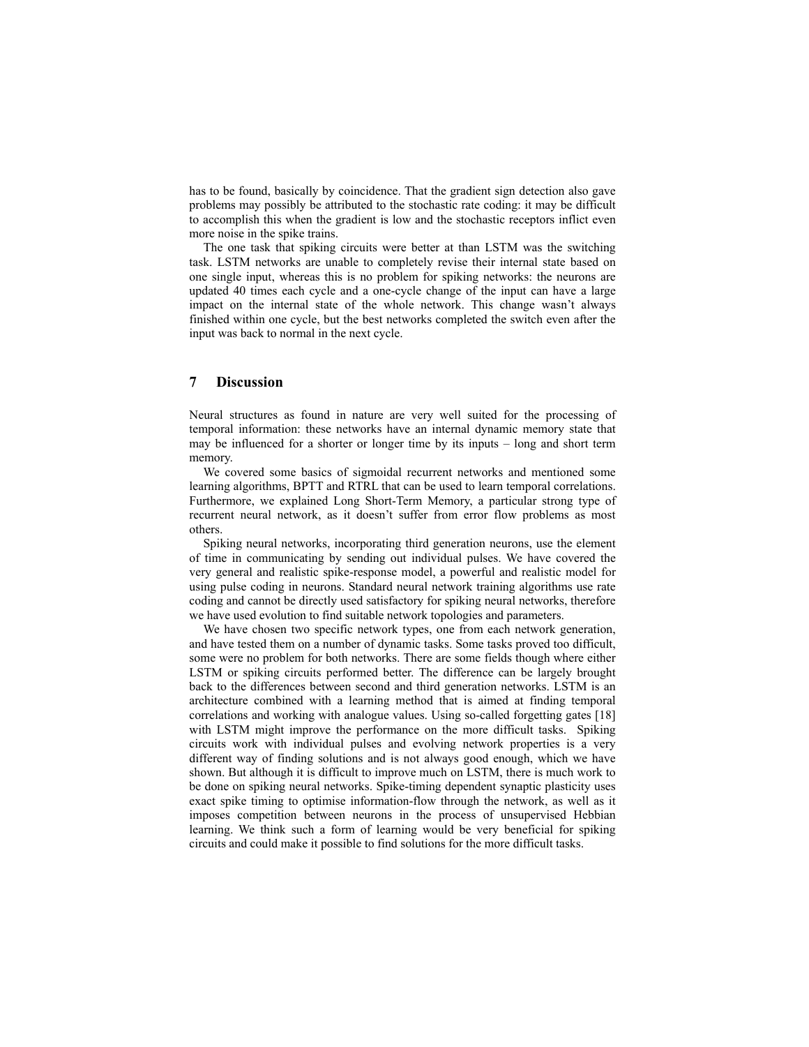has to be found, basically by coincidence. That the gradient sign detection also gave problems may possibly be attributed to the stochastic rate coding: it may be difficult to accomplish this when the gradient is low and the stochastic receptors inflict even more noise in the spike trains.

The one task that spiking circuits were better at than LSTM was the switching task. LSTM networks are unable to completely revise their internal state based on one single input, whereas this is no problem for spiking networks: the neurons are updated 40 times each cycle and a one-cycle change of the input can have a large impact on the internal state of the whole network. This change wasn't always finished within one cycle, but the best networks completed the switch even after the input was back to normal in the next cycle.

## **7 Discussion**

Neural structures as found in nature are very well suited for the processing of temporal information: these networks have an internal dynamic memory state that may be influenced for a shorter or longer time by its inputs – long and short term memory.

We covered some basics of sigmoidal recurrent networks and mentioned some learning algorithms, BPTT and RTRL that can be used to learn temporal correlations. Furthermore, we explained Long Short-Term Memory, a particular strong type of recurrent neural network, as it doesn't suffer from error flow problems as most others.

Spiking neural networks, incorporating third generation neurons, use the element of time in communicating by sending out individual pulses. We have covered the very general and realistic spike-response model, a powerful and realistic model for using pulse coding in neurons. Standard neural network training algorithms use rate coding and cannot be directly used satisfactory for spiking neural networks, therefore we have used evolution to find suitable network topologies and parameters.

We have chosen two specific network types, one from each network generation, and have tested them on a number of dynamic tasks. Some tasks proved too difficult, some were no problem for both networks. There are some fields though where either LSTM or spiking circuits performed better. The difference can be largely brought back to the differences between second and third generation networks. LSTM is an architecture combined with a learning method that is aimed at finding temporal correlations and working with analogue values. Using so-called forgetting gates [18] with LSTM might improve the performance on the more difficult tasks. Spiking circuits work with individual pulses and evolving network properties is a very different way of finding solutions and is not always good enough, which we have shown. But although it is difficult to improve much on LSTM, there is much work to be done on spiking neural networks. Spike-timing dependent synaptic plasticity uses exact spike timing to optimise information-flow through the network, as well as it imposes competition between neurons in the process of unsupervised Hebbian learning. We think such a form of learning would be very beneficial for spiking circuits and could make it possible to find solutions for the more difficult tasks.